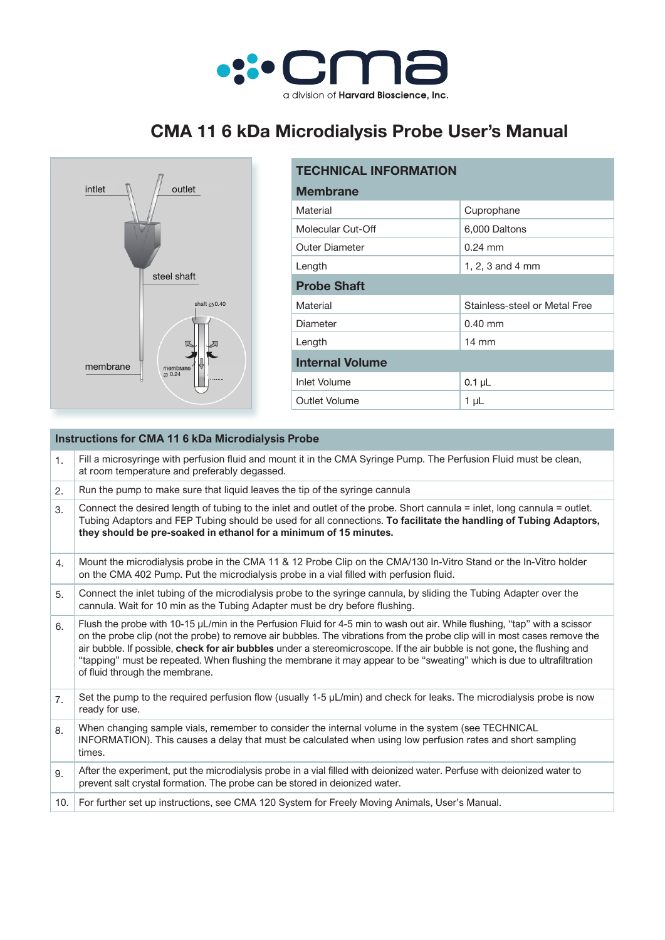

## **CMA 11 6 kDa Microdialysis Probe User's Manual**



| <b>TECHNICAL INFORMATION</b> |                               |  |
|------------------------------|-------------------------------|--|
| <b>Membrane</b>              |                               |  |
| Material                     | Cuprophane                    |  |
| Molecular Cut-Off            | 6,000 Daltons                 |  |
| <b>Outer Diameter</b>        | $0.24 \text{ mm}$             |  |
| Length                       | 1, 2, 3 and 4 mm              |  |
| <b>Probe Shaft</b>           |                               |  |
| Material                     | Stainless-steel or Metal Free |  |
| Diameter                     | $0.40$ mm                     |  |
| Length                       | $14 \text{ mm}$               |  |
| <b>Internal Volume</b>       |                               |  |
| <b>Inlet Volume</b>          | $0.1$ µL                      |  |
| Outlet Volume                | 1 µL                          |  |

| <b>Instructions for CMA 11 6 kDa Microdialysis Probe</b> |                                                                                                                                                                                                                                                                                                                                                                                                                                                                                                                                                |  |
|----------------------------------------------------------|------------------------------------------------------------------------------------------------------------------------------------------------------------------------------------------------------------------------------------------------------------------------------------------------------------------------------------------------------------------------------------------------------------------------------------------------------------------------------------------------------------------------------------------------|--|
| 1.                                                       | Fill a microsyringe with perfusion fluid and mount it in the CMA Syringe Pump. The Perfusion Fluid must be clean,<br>at room temperature and preferably degassed.                                                                                                                                                                                                                                                                                                                                                                              |  |
| 2.                                                       | Run the pump to make sure that liquid leaves the tip of the syringe cannula                                                                                                                                                                                                                                                                                                                                                                                                                                                                    |  |
| 3.                                                       | Connect the desired length of tubing to the inlet and outlet of the probe. Short cannula = inlet, long cannula = outlet.<br>Tubing Adaptors and FEP Tubing should be used for all connections. To facilitate the handling of Tubing Adaptors,<br>they should be pre-soaked in ethanol for a minimum of 15 minutes.                                                                                                                                                                                                                             |  |
| 4.                                                       | Mount the microdialysis probe in the CMA 11 & 12 Probe Clip on the CMA/130 In-Vitro Stand or the In-Vitro holder<br>on the CMA 402 Pump. Put the microdialysis probe in a vial filled with perfusion fluid.                                                                                                                                                                                                                                                                                                                                    |  |
| 5.                                                       | Connect the inlet tubing of the microdialysis probe to the syringe cannula, by sliding the Tubing Adapter over the<br>cannula. Wait for 10 min as the Tubing Adapter must be dry before flushing.                                                                                                                                                                                                                                                                                                                                              |  |
| 6.                                                       | Flush the probe with 10-15 µL/min in the Perfusion Fluid for 4-5 min to wash out air. While flushing, "tap" with a scissor<br>on the probe clip (not the probe) to remove air bubbles. The vibrations from the probe clip will in most cases remove the<br>air bubble. If possible, check for air bubbles under a stereomicroscope. If the air bubble is not gone, the flushing and<br>"tapping" must be repeated. When flushing the membrane it may appear to be "sweating" which is due to ultrafiltration<br>of fluid through the membrane. |  |
| 7.                                                       | Set the pump to the required perfusion flow (usually 1-5 $\mu$ L/min) and check for leaks. The microdialysis probe is now<br>ready for use.                                                                                                                                                                                                                                                                                                                                                                                                    |  |
| 8.                                                       | When changing sample vials, remember to consider the internal volume in the system (see TECHNICAL<br>INFORMATION). This causes a delay that must be calculated when using low perfusion rates and short sampling<br>times.                                                                                                                                                                                                                                                                                                                     |  |
| 9.                                                       | After the experiment, put the microdialysis probe in a vial filled with deionized water. Perfuse with deionized water to<br>prevent salt crystal formation. The probe can be stored in deionized water.                                                                                                                                                                                                                                                                                                                                        |  |
| 10.                                                      | For further set up instructions, see CMA 120 System for Freely Moving Animals, User's Manual.                                                                                                                                                                                                                                                                                                                                                                                                                                                  |  |
|                                                          |                                                                                                                                                                                                                                                                                                                                                                                                                                                                                                                                                |  |